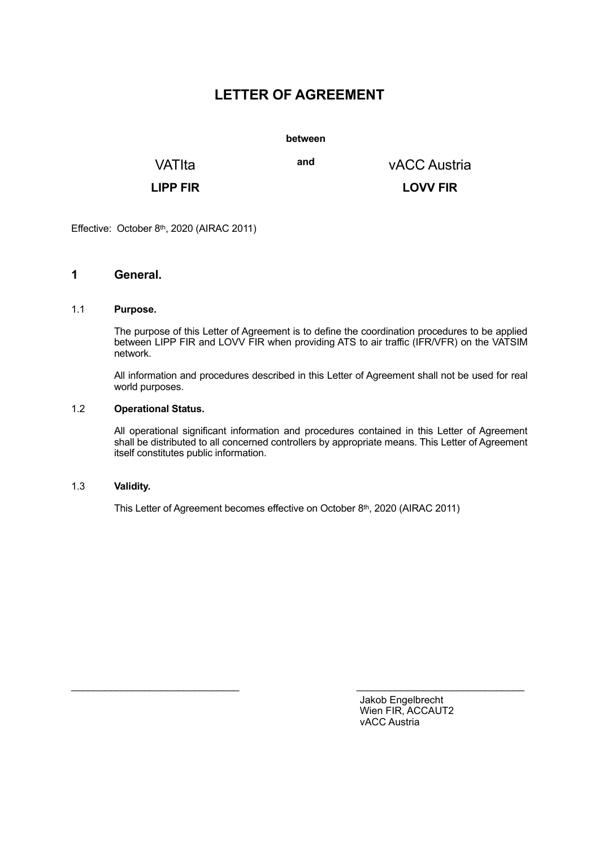# **LETTER OF AGREEMENT**

**between**

VATIta **and** vACC Austria

**LIPP FIR LOVV FIR**

Effective: October 8th, 2020 (AIRAC 2011)

### **1 General.**

#### 1.1 **Purpose.**

 The purpose of this Letter of Agreement is to define the coordination procedures to be applied between LIPP FIR and LOVV FIR when providing ATS to air traffic (IFR/VFR) on the VATSIM network.

 All information and procedures described in this Letter of Agreement shall not be used for real world purposes.

#### 1.2 **Operational Status.**

 All operational significant information and procedures contained in this Letter of Agreement shall be distributed to all concerned controllers by appropriate means. This Letter of Agreement itself constitutes public information.

#### 1.3 **Validity.**

This Letter of Agreement becomes effective on October 8th, 2020 (AIRAC 2011)

 $\_$  , and the state of the state of the state of the state of the state of the state of the state of the state of the state of the state of the state of the state of the state of the state of the state of the state of the

Jakob Engelbrecht Wien FIR, ACCAUT2 vACC Austria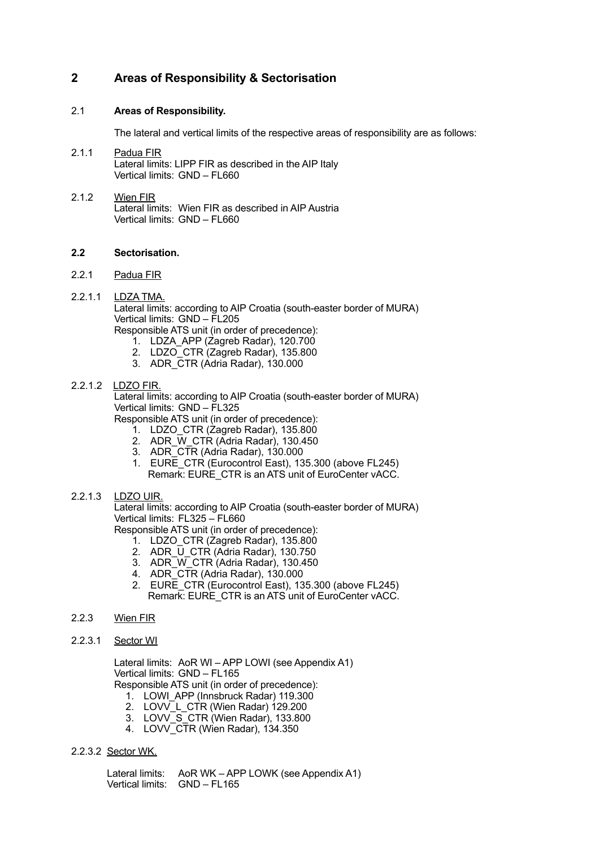# **2 Areas of Responsibility & Sectorisation**

#### 2.1 **Areas of Responsibility.**

The lateral and vertical limits of the respective areas of responsibility are as follows:

- 2.1.1 Padua FIR Lateral limits: LIPP FIR as described in the AIP Italy Vertical limits: GND – FL660
- 2.1.2 Wien FIR Lateral limits: Wien FIR as described in AIP Austria Vertical limits: GND – FL660

#### **2.2 Sectorisation.**

- 2.2.1 Padua FIR
- 2.2.1.1 LDZA TMA.

 Lateral limits: according to AIP Croatia (south-easter border of MURA) Vertical limits: GND – FL205

Responsible ATS unit (in order of precedence):

- 1. LDZA\_APP (Zagreb Radar), 120.700
- 2. LDZO CTR (Zagreb Radar), 135.800
- 3. ADR\_CTR (Adria Radar), 130.000

#### 2.2.1.2 LDZO FIR.

 Lateral limits: according to AIP Croatia (south-easter border of MURA) Vertical limits: GND – FL325

Responsible ATS unit (in order of precedence):

- 1. LDZO\_CTR (Zagreb Radar), 135.800
- 2. ADR\_W\_CTR (Adria Radar), 130.450
- 3. ADR\_CTR (Adria Radar), 130.000
- 1. EURE CTR (Eurocontrol East), 135.300 (above FL245) Remark: EURE\_CTR is an ATS unit of EuroCenter vACC.

#### 2.2.1.3 LDZO UIR.

 Lateral limits: according to AIP Croatia (south-easter border of MURA) Vertical limits: FL325 – FL660

Responsible ATS unit (in order of precedence):

- 1. LDZO\_CTR (Zagreb Radar), 135.800
- 2. ADR  $\overline{U}$  CTR (Adria Radar), 130.750
- 3. ADR\_W\_CTR (Adria Radar), 130.450
- 4. ADR\_CTR (Adria Radar), 130.000
- 2. EURE CTR (Eurocontrol East), 135.300 (above FL245) Remark: EURE\_CTR is an ATS unit of EuroCenter vACC.

#### 2.2.3 Wien FIR

2.2.3.1 Sector WI

 Lateral limits: AoR WI – APP LOWI (see Appendix A1) Vertical limits: GND – FL165

Responsible ATS unit (in order of precedence):

- 1. LOWI APP (Innsbruck Radar) 119.300
- 2. LOVV\_L\_CTR (Wien Radar) 129.200
- 3. LOVV\_S\_CTR (Wien Radar), 133.800
- 4. LOVV\_CTR (Wien Radar), 134.350

#### 2.2.3.2 Sector WK.

 Lateral limits: AoR WK – APP LOWK (see Appendix A1) Vertical limits: GND – FL165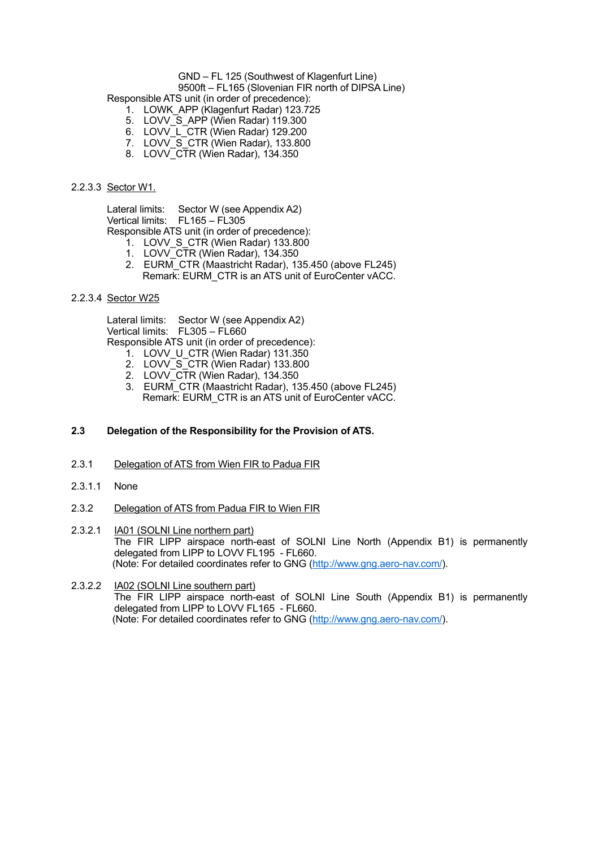#### GND – FL 125 (Southwest of Klagenfurt Line)

9500ft – FL165 (Slovenian FIR north of DIPSA Line)

Responsible ATS unit (in order of precedence):

- 1. LOWK\_APP (Klagenfurt Radar) 123.725
- 5. LOVV\_S\_APP (Wien Radar) 119.300
- 6. LOVV L CTR (Wien Radar) 129.200
- 7. LOVV\_S\_CTR (Wien Radar), 133.800
- 8. LOVV CTR (Wien Radar), 134.350

#### 2.2.3.3 Sector W1.

 Lateral limits: Sector W (see Appendix A2) Vertical limits: FL165 – FL305 Responsible ATS unit (in order of precedence):

1. LOVV S CTR (Wien Radar) 133.800

- 1. LOVV\_CTR (Wien Radar), 134.350
- 
- 2. EURM\_CTR (Maastricht Radar), 135.450 (above FL245) Remark: EURM CTR is an ATS unit of EuroCenter vACC.

#### 2.2.3.4 Sector W25

 Lateral limits: Sector W (see Appendix A2) Vertical limits: FL305 – FL660

Responsible ATS unit (in order of precedence):

- 1. LOVV U CTR (Wien Radar) 131.350
- 2. LOVV S CTR (Wien Radar) 133.800
- 2. LOVV CTR (Wien Radar), 134.350
- 3. EURM\_CTR (Maastricht Radar), 135.450 (above FL245) Remark: EURM CTR is an ATS unit of EuroCenter vACC.

#### **2.3 Delegation of the Responsibility for the Provision of ATS.**

- 2.3.1 Delegation of ATS from Wien FIR to Padua FIR
- 2.3.1.1 None
- 2.3.2 Delegation of ATS from Padua FIR to Wien FIR
- 2.3.2.1 **IA01 (SOLNI Line northern part)**  The FIR LIPP airspace north-east of SOLNI Line North (Appendix B1) is permanently delegated from LIPP to LOVV FL195 - FL660. (Note: For detailed coordinates refer to GNG [\(http://www.gng.aero-nav.com/](http://www.gng.aero-nav.com/)).
- 2.3.2.2 IA02 (SOLNI Line southern part) The FIR LIPP airspace north-east of SOLNI Line South (Appendix B1) is permanently delegated from LIPP to LOVV FL165 - FL660. (Note: For detailed coordinates refer to GNG [\(http://www.gng.aero-nav.com/](http://www.gng.aero-nav.com/)).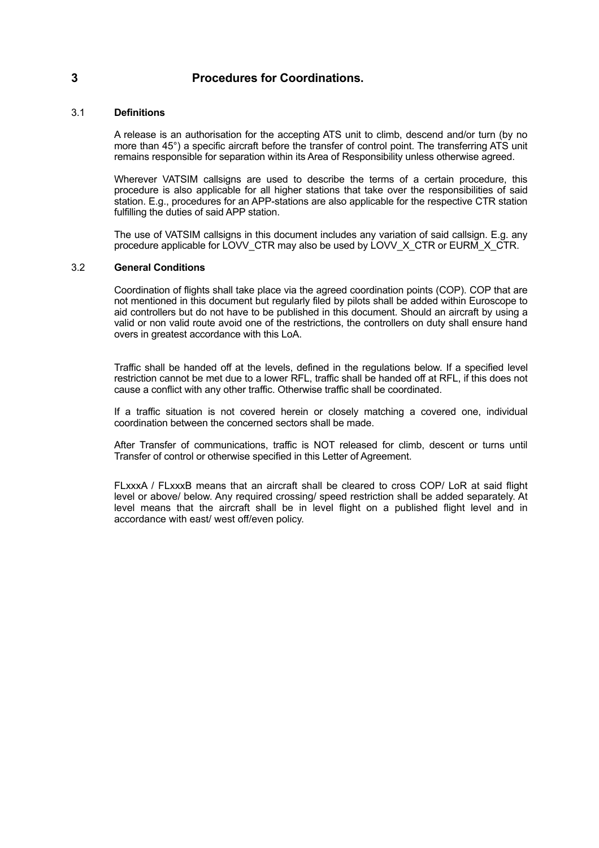### **3 Procedures for Coordinations.**

#### 3.1 **Definitions**

 A release is an authorisation for the accepting ATS unit to climb, descend and/or turn (by no more than 45°) a specific aircraft before the transfer of control point. The transferring ATS unit remains responsible for separation within its Area of Responsibility unless otherwise agreed.

 Wherever VATSIM callsigns are used to describe the terms of a certain procedure, this procedure is also applicable for all higher stations that take over the responsibilities of said station. E.g., procedures for an APP-stations are also applicable for the respective CTR station fulfilling the duties of said APP station.

 The use of VATSIM callsigns in this document includes any variation of said callsign. E.g. any procedure applicable for LOVV\_CTR may also be used by LOVV\_X\_CTR or EURM\_X\_CTR.

#### 3.2 **General Conditions**

 Coordination of flights shall take place via the agreed coordination points (COP). COP that are not mentioned in this document but regularly filed by pilots shall be added within Euroscope to aid controllers but do not have to be published in this document. Should an aircraft by using a valid or non valid route avoid one of the restrictions, the controllers on duty shall ensure hand overs in greatest accordance with this LoA.

Traffic shall be handed off at the levels, defined in the regulations below. If a specified level restriction cannot be met due to a lower RFL, traffic shall be handed off at RFL, if this does not cause a conflict with any other traffic. Otherwise traffic shall be coordinated.

 If a traffic situation is not covered herein or closely matching a covered one, individual coordination between the concerned sectors shall be made.

 After Transfer of communications, traffic is NOT released for climb, descent or turns until Transfer of control or otherwise specified in this Letter of Agreement.

FLxxxA / FLxxxB means that an aircraft shall be cleared to cross COP/ LoR at said flight level or above/ below. Any required crossing/ speed restriction shall be added separately. At level means that the aircraft shall be in level flight on a published flight level and in accordance with east/ west off/even policy.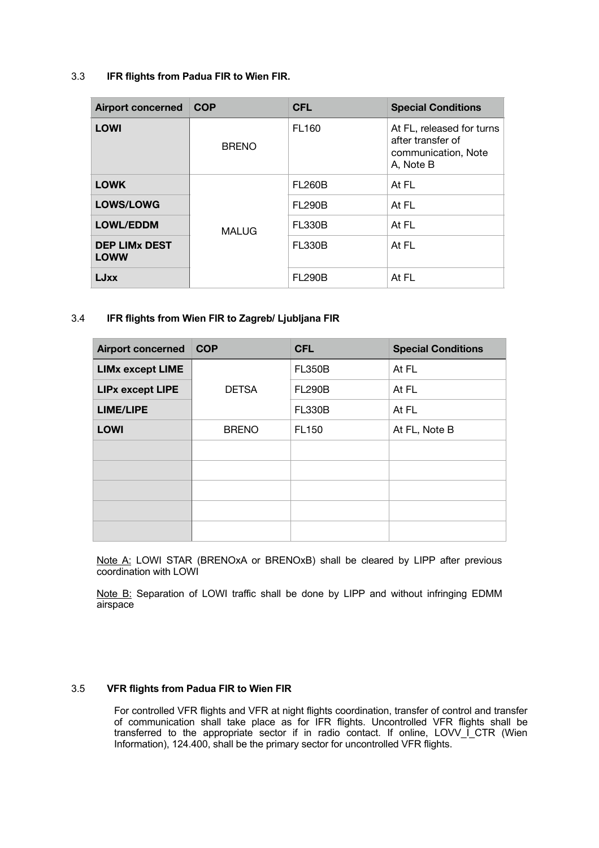#### 3.3 **IFR flights from Padua FIR to Wien FIR.**

| <b>Airport concerned</b>            | <b>COP</b>   | <b>CFL</b>    | <b>Special Conditions</b>                                                          |
|-------------------------------------|--------------|---------------|------------------------------------------------------------------------------------|
| <b>LOWI</b>                         | <b>BRENO</b> | <b>FL160</b>  | At FL, released for turns<br>after transfer of<br>communication, Note<br>A, Note B |
| <b>LOWK</b>                         | <b>MALUG</b> | <b>FL260B</b> | At FL                                                                              |
| <b>LOWS/LOWG</b>                    |              | <b>FL290B</b> | At FL                                                                              |
| <b>LOWL/EDDM</b>                    |              | <b>FL330B</b> | At FL                                                                              |
| <b>DEP LIMX DEST</b><br><b>LOWW</b> |              | <b>FL330B</b> | At FL                                                                              |
| <b>LJxx</b>                         |              | <b>FL290B</b> | At FL                                                                              |

#### 3.4 **IFR flights from Wien FIR to Zagreb/ Ljubljana FIR**

| <b>Airport concerned</b> | <b>COP</b>   | <b>CFL</b>    | <b>Special Conditions</b> |
|--------------------------|--------------|---------------|---------------------------|
| <b>LIMx except LIME</b>  |              | <b>FL350B</b> | At FL                     |
| <b>LIPx except LIPE</b>  | <b>DETSA</b> | <b>FL290B</b> | At FL                     |
| <b>LIME/LIPE</b>         |              | <b>FL330B</b> | At FL                     |
| <b>LOWI</b>              | <b>BRENO</b> | <b>FL150</b>  | At FL, Note B             |
|                          |              |               |                           |
|                          |              |               |                           |
|                          |              |               |                           |
|                          |              |               |                           |
|                          |              |               |                           |

Note A: LOWI STAR (BRENOxA or BRENOxB) shall be cleared by LIPP after previous coordination with LOWI

Note B: Separation of LOWI traffic shall be done by LIPP and without infringing EDMM airspace

#### 3.5 **VFR flights from Padua FIR to Wien FIR**

 For controlled VFR flights and VFR at night flights coordination, transfer of control and transfer of communication shall take place as for IFR flights. Uncontrolled VFR flights shall be transferred to the appropriate sector if in radio contact. If online, LOVV\_I\_CTR (Wien Information), 124.400, shall be the primary sector for uncontrolled VFR flights.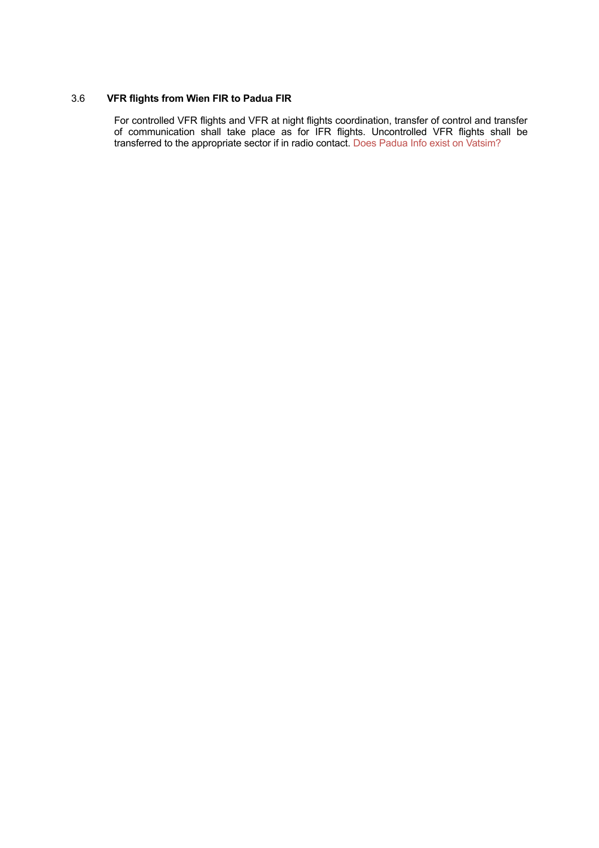# 3.6 **VFR flights from Wien FIR to Padua FIR**

 For controlled VFR flights and VFR at night flights coordination, transfer of control and transfer of communication shall take place as for IFR flights. Uncontrolled VFR flights shall be transferred to the appropriate sector if in radio contact. Does Padua Info exist on Vatsim?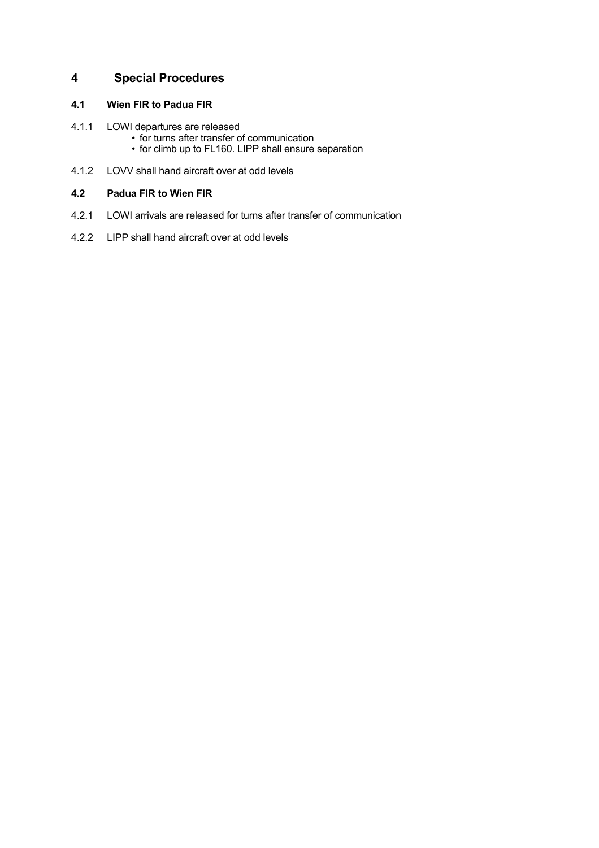# **4 Special Procedures**

#### **4.1 Wien FIR to Padua FIR**

- 4.1.1 LOWI departures are released
	- for turns after transfer of communication
	- for climb up to FL160. LIPP shall ensure separation
- 4.1.2 LOVV shall hand aircraft over at odd levels

#### **4.2 Padua FIR to Wien FIR**

- 4.2.1 LOWI arrivals are released for turns after transfer of communication
- 4.2.2 LIPP shall hand aircraft over at odd levels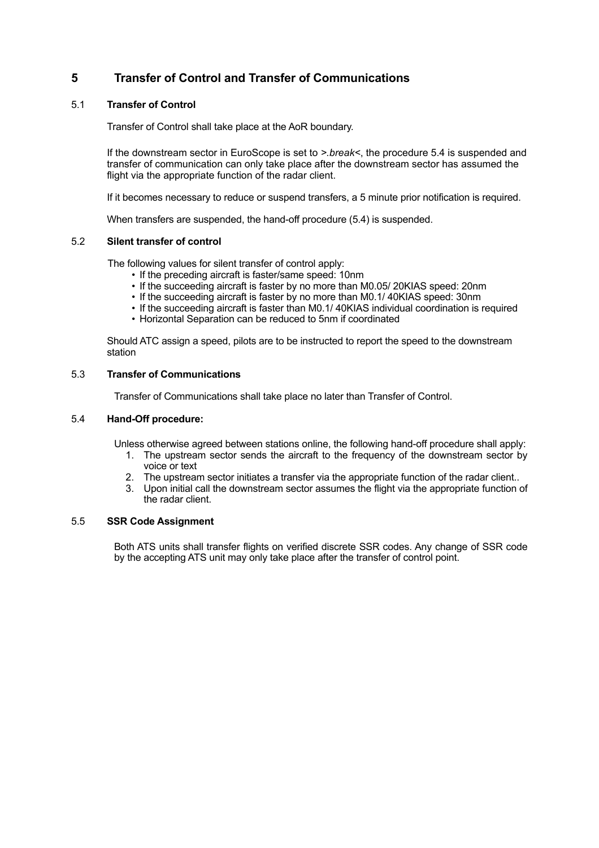# **5 Transfer of Control and Transfer of Communications**

#### 5.1 **Transfer of Control**

Transfer of Control shall take place at the AoR boundary.

If the downstream sector in EuroScope is set to *>.break<*, the procedure 5.4 is suspended and transfer of communication can only take place after the downstream sector has assumed the flight via the appropriate function of the radar client.

If it becomes necessary to reduce or suspend transfers, a 5 minute prior notification is required.

When transfers are suspended, the hand-off procedure (5.4) is suspended.

#### 5.2 **Silent transfer of control**

The following values for silent transfer of control apply:

- If the preceding aircraft is faster/same speed: 10nm
- If the succeeding aircraft is faster by no more than M0.05/ 20KIAS speed: 20nm
- If the succeeding aircraft is faster by no more than M0.1/ 40KIAS speed: 30nm
- If the succeeding aircraft is faster than M0.1/ 40KIAS individual coordination is required
- Horizontal Separation can be reduced to 5nm if coordinated

 Should ATC assign a speed, pilots are to be instructed to report the speed to the downstream station

#### 5.3 **Transfer of Communications**

Transfer of Communications shall take place no later than Transfer of Control.

#### 5.4 **Hand-Off procedure:**

Unless otherwise agreed between stations online, the following hand-off procedure shall apply:

- 1. The upstream sector sends the aircraft to the frequency of the downstream sector by voice or text
- 2. The upstream sector initiates a transfer via the appropriate function of the radar client..
- 3. Upon initial call the downstream sector assumes the flight via the appropriate function of the radar client.

#### 5.5 **SSR Code Assignment**

 Both ATS units shall transfer flights on verified discrete SSR codes. Any change of SSR code by the accepting ATS unit may only take place after the transfer of control point.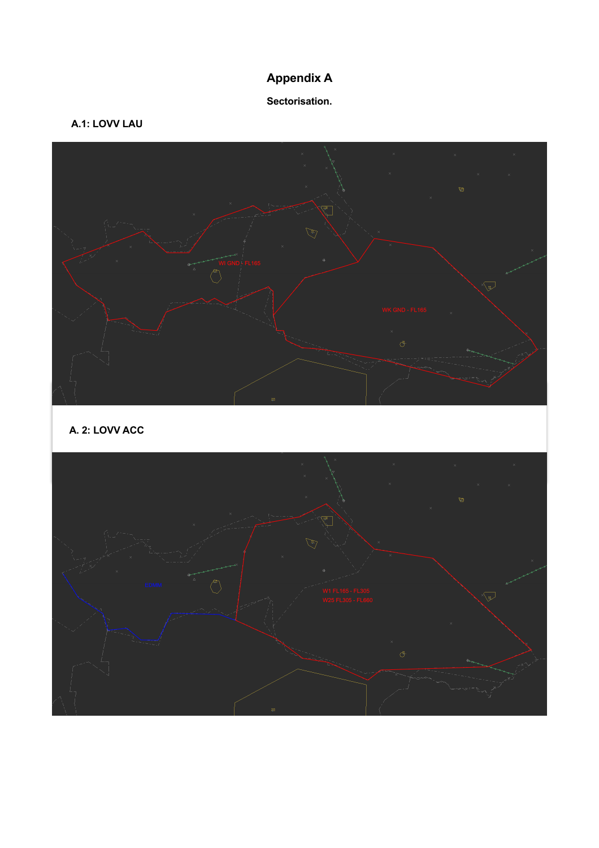# **Appendix A**

## **Sectorisation.**

# **A.1: LOVV LAU**



**A. 2: LOVV ACC**